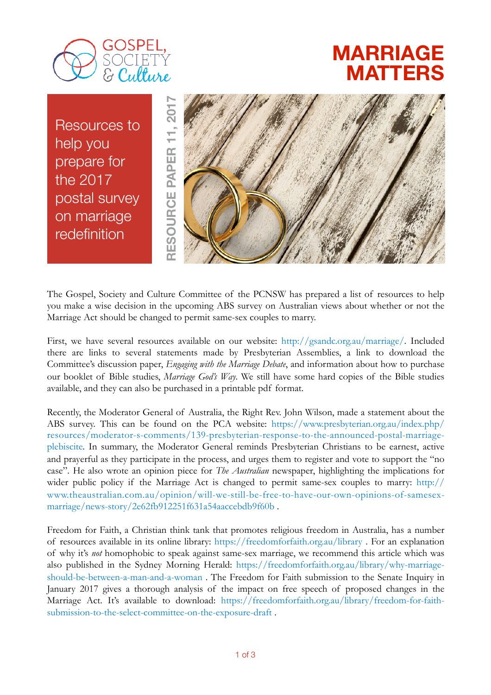

## **MARRIAGE MATTERS**

Resources to help you prepare for the 2017 postal survey on marriage redefinition



The Gospel, Society and Culture Committee of the PCNSW has prepared a list of resources to help you make a wise decision in the upcoming ABS survey on Australian views about whether or not the Marriage Act should be changed to permit same-sex couples to marry.

First, we have several resources available on our website: [http://gsandc.org.au/marriage/.](http://gsandc.org.au/marriage/) Included there are links to several statements made by Presbyterian Assemblies, a link to download the Committee's discussion paper, *Engaging with the Marriage Debate*, and information about how to purchase our booklet of Bible studies, *Marriage God's Way*. We still have some hard copies of the Bible studies available, and they can also be purchased in a printable pdf format.

Recently, the Moderator General of Australia, the Right Rev. John Wilson, made a statement about the ABS survey. This can be found on the PCA website: [https://www.presbyterian.org.au/index.php/](https://www.presbyterian.org.au/index.php/resources/moderator-s-comments/139-presbyterian-response-to-the-announced-postal-marriage-plebiscite) [resources/moderator-s-comments/139-presbyterian-response-to-the-announced-postal-marriage](https://www.presbyterian.org.au/index.php/resources/moderator-s-comments/139-presbyterian-response-to-the-announced-postal-marriage-plebiscite)[plebiscite](https://www.presbyterian.org.au/index.php/resources/moderator-s-comments/139-presbyterian-response-to-the-announced-postal-marriage-plebiscite). In summary, the Moderator General reminds Presbyterian Christians to be earnest, active and prayerful as they participate in the process, and urges them to register and vote to support the "no case". He also wrote an opinion piece for *The Australian* newspaper, highlighting the implications for wider public policy if the Marriage Act is changed to permit same-sex couples to marry: [http://](http://www.theaustralian.com.au/opinion/will-we-still-be-free-to-have-our-own-opinions-of-samesex-marriage/news-story/2e62fb912251f631a54aaccebdb9f60b) [www.theaustralian.com.au/opinion/will-we-still-be-free-to-have-our-own-opinions-of-samesex](http://www.theaustralian.com.au/opinion/will-we-still-be-free-to-have-our-own-opinions-of-samesex-marriage/news-story/2e62fb912251f631a54aaccebdb9f60b)[marriage/news-story/2e62fb912251f631a54aaccebdb9f60b](http://www.theaustralian.com.au/opinion/will-we-still-be-free-to-have-our-own-opinions-of-samesex-marriage/news-story/2e62fb912251f631a54aaccebdb9f60b) .

Freedom for Faith, a Christian think tank that promotes religious freedom in Australia, has a number of resources available in its online library: <https://freedomforfaith.org.au/library> . For an explanation of why it's *not* homophobic to speak against same-sex marriage, we recommend this article which was also published in the Sydney Morning Herald: [https://freedomforfaith.org.au/library/why-marriage](https://freedomforfaith.org.au/library/why-marriage-should-be-between-a-man-and-a-woman)[should-be-between-a-man-and-a-woman](https://freedomforfaith.org.au/library/why-marriage-should-be-between-a-man-and-a-woman) . The Freedom for Faith submission to the Senate Inquiry in January 2017 gives a thorough analysis of the impact on free speech of proposed changes in the [Marriage Act. It's available to download: https://freedomforfaith.org.au/library/freedom-for-faith](https://freedomforfaith.org.au/library/freedom-for-faith-submission-to-the-select-committee-on-the-exposure-draft)[submission-to-the-select-committee-on-the-exposure-draft](https://freedomforfaith.org.au/library/freedom-for-faith-submission-to-the-select-committee-on-the-exposure-draft) .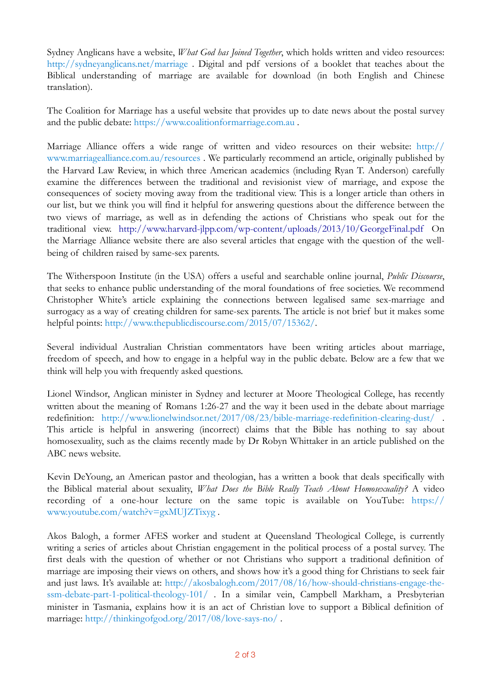Sydney Anglicans have a website, *What God has Joined Together*, which holds written and video resources: <http://sydneyanglicans.net/marriage>. Digital and pdf versions of a booklet that teaches about the Biblical understanding of marriage are available for download (in both English and Chinese translation).

The Coalition for Marriage has a useful website that provides up to date news about the postal survey and the public debate:<https://www.coalitionformarriage.com.au> .

Marriage Alliance offers a wide range of written and video resources on their website: [http://](http://www.marriagealliance.com.au/resources) [www.marriagealliance.com.au/resources](http://www.marriagealliance.com.au/resources) . We particularly recommend an article, originally published by the Harvard Law Review, in which three American academics (including Ryan T. Anderson) carefully examine the differences between the traditional and revisionist view of marriage, and expose the consequences of society moving away from the traditional view. This is a longer article than others in our list, but we think you will find it helpful for answering questions about the difference between the two views of marriage, as well as in defending the actions of Christians who speak out for the traditional view. <http://www.harvard-jlpp.com/wp-content/uploads/2013/10/GeorgeFinal.pdf> On the Marriage Alliance website there are also several articles that engage with the question of the wellbeing of children raised by same-sex parents.

The Witherspoon Institute (in the USA) offers a useful and searchable online journal, *Public Discourse*, that seeks to enhance public understanding of the moral foundations of free societies. We recommend Christopher White's article explaining the connections between legalised same sex-marriage and surrogacy as a way of creating children for same-sex parents. The article is not brief but it makes some helpful points:<http://www.thepublicdiscourse.com/2015/07/15362/>.

Several individual Australian Christian commentators have been writing articles about marriage, freedom of speech, and how to engage in a helpful way in the public debate. Below are a few that we think will help you with frequently asked questions.

Lionel Windsor, Anglican minister in Sydney and lecturer at Moore Theological College, has recently written about the meaning of Romans 1:26-27 and the way it been used in the debate about marriage redefinition: <http://www.lionelwindsor.net/2017/08/23/bible-marriage-redefinition-clearing-dust/>. This article is helpful in answering (incorrect) claims that the Bible has nothing to say about homosexuality, such as the claims recently made by Dr Robyn Whittaker in an article published on the ABC news website.

Kevin DeYoung, an American pastor and theologian, has a written a book that deals specifically with the Biblical material about sexuality, *What Does the Bible Really Teach About Homosexuality?* A video recording of a one-hour lecture on the same topic is available on YouTube: [https://](https://www.youtube.com/watch?v=gxMUJZTixyg) [www.youtube.com/watch?v=gxMUJZTixyg](https://www.youtube.com/watch?v=gxMUJZTixyg) .

Akos Balogh, a former AFES worker and student at Queensland Theological College, is currently writing a series of articles about Christian engagement in the political process of a postal survey. The first deals with the question of whether or not Christians who support a traditional definition of marriage are imposing their views on others, and shows how it's a good thing for Christians to seek fair [and just laws. It's available at: http://akosbalogh.com/2017/08/16/how-should-christians-engage-the](http://akosbalogh.com/2017/08/16/how-should-christians-engage-the-ssm-debate-part-1-political-theology-101/)[ssm-debate-part-1-political-theology-101/](http://akosbalogh.com/2017/08/16/how-should-christians-engage-the-ssm-debate-part-1-political-theology-101/) . In a similar vein, Campbell Markham, a Presbyterian minister in Tasmania, explains how it is an act of Christian love to support a Biblical definition of marriage:<http://thinkingofgod.org/2017/08/love-says-no/>.